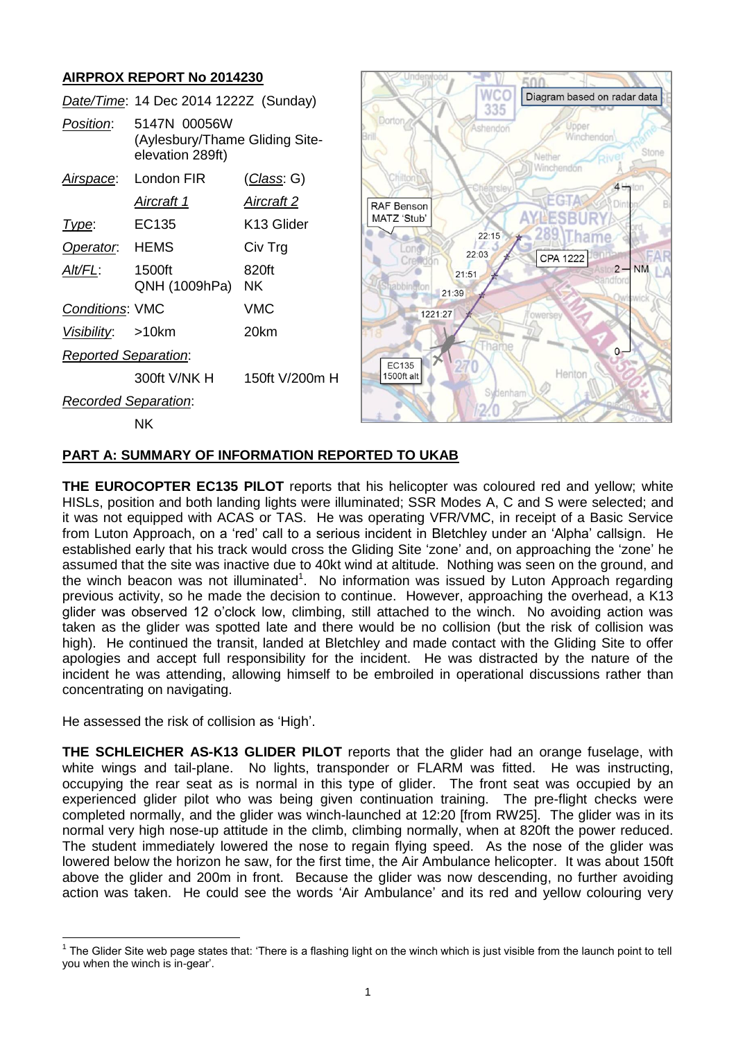# **AIRPROX REPORT No 2014230**

|                             | Date/Time: 14 Dec 2014 1222Z (Sunday)                              |                        |              | <b>WCO</b><br>335 | Diagram based on radar dat |
|-----------------------------|--------------------------------------------------------------------|------------------------|--------------|-------------------|----------------------------|
| Position:                   | 5147N 00056W<br>(Aylesbury/Thame Gliding Site-<br>elevation 289ft) |                        | Dorton       | Ashendon          | Jpper<br>Winchendor        |
| Airspace:                   | London FIR                                                         | <u>(Class</u> : G)     |              |                   | Winchendon<br>$4 -$        |
|                             | Aircraft 1                                                         | <b>Aircraft 2</b>      | RAF Benson   |                   | EGTA                       |
| Type:                       | EC135                                                              | K <sub>13</sub> Glider | MATZ 'Stub'  |                   |                            |
| Operator.                   | <b>HEMS</b>                                                        | Civ Trg                | ond          | 22:15<br>22:03    | CPA 1222                   |
| Alt/FL:                     | 1500ft<br>QNH (1009hPa)                                            | 820ft<br><b>NK</b>     |              | 21:51<br>21:39    | $2 - NM$                   |
| Conditions: VMC             |                                                                    | <b>VMC</b>             | 1221:27      |                   | fowersey                   |
| Visibility:                 | $>10$ km                                                           | 20km                   |              |                   |                            |
| <b>Reported Separation:</b> |                                                                    |                        | <b>EC135</b> |                   | $0 -$                      |
|                             | 300ft V/NK H                                                       | 150ft V/200m H         | 1500ft alt   |                   | Henton                     |
| Recorded Separation:        |                                                                    |                        |              | Sydenham          |                            |
|                             | <b>NK</b>                                                          |                        |              |                   |                            |

Underwood - IT FAA

data

Stor

### **PART A: SUMMARY OF INFORMATION REPORTED TO UKAB**

**THE EUROCOPTER EC135 PILOT** reports that his helicopter was coloured red and yellow; white HISLs, position and both landing lights were illuminated; SSR Modes A, C and S were selected; and it was not equipped with ACAS or TAS. He was operating VFR/VMC, in receipt of a Basic Service from Luton Approach, on a 'red' call to a serious incident in Bletchley under an 'Alpha' callsign. He established early that his track would cross the Gliding Site 'zone' and, on approaching the 'zone' he assumed that the site was inactive due to 40kt wind at altitude. Nothing was seen on the ground, and the winch beacon was not illuminated<sup>1</sup>. No information was issued by Luton Approach regarding previous activity, so he made the decision to continue. However, approaching the overhead, a K13 glider was observed 12 o'clock low, climbing, still attached to the winch. No avoiding action was taken as the glider was spotted late and there would be no collision (but the risk of collision was high). He continued the transit, landed at Bletchley and made contact with the Gliding Site to offer apologies and accept full responsibility for the incident. He was distracted by the nature of the incident he was attending, allowing himself to be embroiled in operational discussions rather than concentrating on navigating.

He assessed the risk of collision as 'High'.

**THE SCHLEICHER AS-K13 GLIDER PILOT** reports that the glider had an orange fuselage, with white wings and tail-plane. No lights, transponder or FLARM was fitted. He was instructing, occupying the rear seat as is normal in this type of glider. The front seat was occupied by an experienced glider pilot who was being given continuation training. The pre-flight checks were completed normally, and the glider was winch-launched at 12:20 [from RW25]. The glider was in its normal very high nose-up attitude in the climb, climbing normally, when at 820ft the power reduced. The student immediately lowered the nose to regain flying speed. As the nose of the glider was lowered below the horizon he saw, for the first time, the Air Ambulance helicopter. It was about 150ft above the glider and 200m in front. Because the glider was now descending, no further avoiding action was taken. He could see the words 'Air Ambulance' and its red and yellow colouring very

 $\overline{\phantom{a}}$ 1 The Glider Site web page states that: 'There is a flashing light on the winch which is just visible from the launch point to tell you when the winch is in-gear'.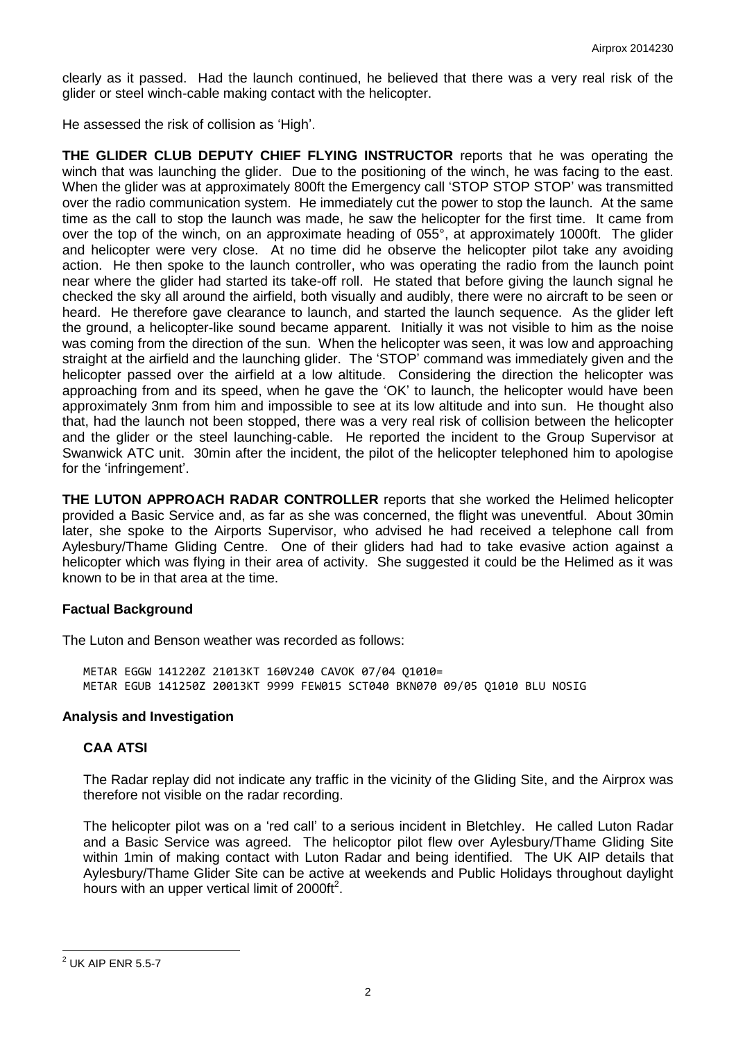clearly as it passed. Had the launch continued, he believed that there was a very real risk of the glider or steel winch-cable making contact with the helicopter.

He assessed the risk of collision as 'High'.

**THE GLIDER CLUB DEPUTY CHIEF FLYING INSTRUCTOR** reports that he was operating the winch that was launching the glider. Due to the positioning of the winch, he was facing to the east. When the glider was at approximately 800ft the Emergency call 'STOP STOP STOP' was transmitted over the radio communication system. He immediately cut the power to stop the launch. At the same time as the call to stop the launch was made, he saw the helicopter for the first time. It came from over the top of the winch, on an approximate heading of 055°, at approximately 1000ft. The glider and helicopter were very close. At no time did he observe the helicopter pilot take any avoiding action. He then spoke to the launch controller, who was operating the radio from the launch point near where the glider had started its take-off roll. He stated that before giving the launch signal he checked the sky all around the airfield, both visually and audibly, there were no aircraft to be seen or heard. He therefore gave clearance to launch, and started the launch sequence. As the glider left the ground, a helicopter-like sound became apparent. Initially it was not visible to him as the noise was coming from the direction of the sun. When the helicopter was seen, it was low and approaching straight at the airfield and the launching glider. The 'STOP' command was immediately given and the helicopter passed over the airfield at a low altitude. Considering the direction the helicopter was approaching from and its speed, when he gave the 'OK' to launch, the helicopter would have been approximately 3nm from him and impossible to see at its low altitude and into sun. He thought also that, had the launch not been stopped, there was a very real risk of collision between the helicopter and the glider or the steel launching-cable. He reported the incident to the Group Supervisor at Swanwick ATC unit. 30min after the incident, the pilot of the helicopter telephoned him to apologise for the 'infringement'.

**THE LUTON APPROACH RADAR CONTROLLER** reports that she worked the Helimed helicopter provided a Basic Service and, as far as she was concerned, the flight was uneventful. About 30min later, she spoke to the Airports Supervisor, who advised he had received a telephone call from Aylesbury/Thame Gliding Centre. One of their gliders had had to take evasive action against a helicopter which was flying in their area of activity. She suggested it could be the Helimed as it was known to be in that area at the time.

### **Factual Background**

The Luton and Benson weather was recorded as follows:

METAR EGGW 141220Z 21013KT 160V240 CAVOK 07/04 Q1010= METAR EGUB 141250Z 20013KT 9999 FEW015 SCT040 BKN070 09/05 Q1010 BLU NOSIG

### **Analysis and Investigation**

### **CAA ATSI**

The Radar replay did not indicate any traffic in the vicinity of the Gliding Site, and the Airprox was therefore not visible on the radar recording.

The helicopter pilot was on a 'red call' to a serious incident in Bletchley. He called Luton Radar and a Basic Service was agreed. The helicoptor pilot flew over Aylesbury/Thame Gliding Site within 1min of making contact with Luton Radar and being identified. The UK AIP details that Aylesbury/Thame Glider Site can be active at weekends and Public Holidays throughout daylight hours with an upper vertical limit of 2000ft<sup>2</sup>.

l  $2$  UK AIP ENR 5.5-7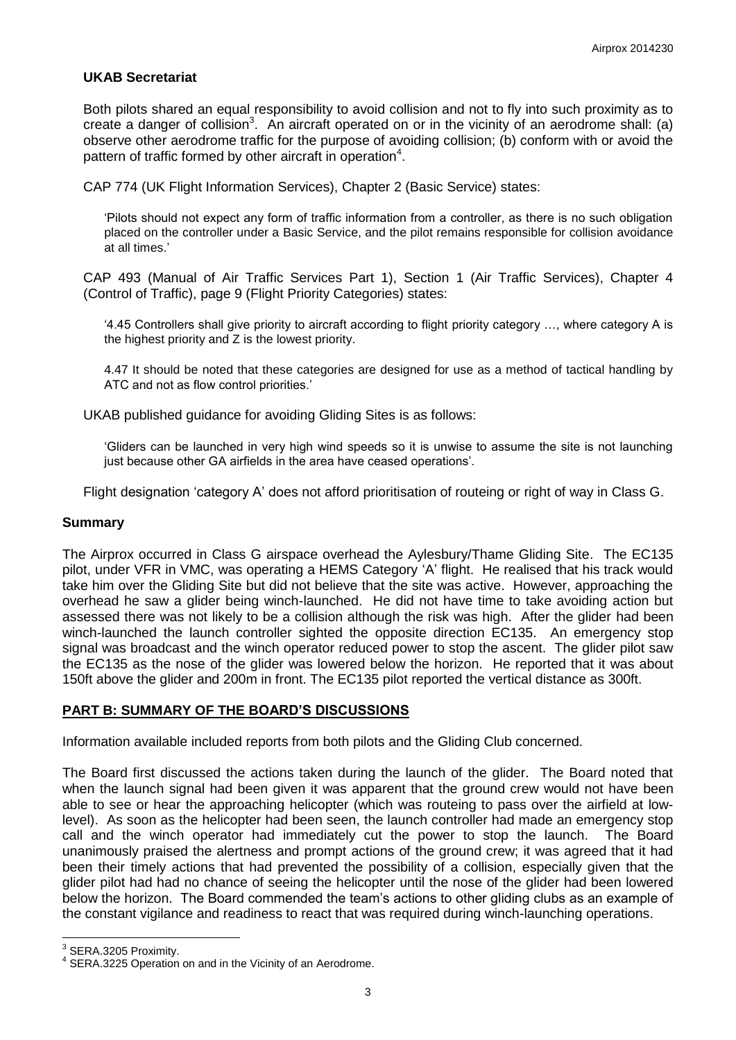### **UKAB Secretariat**

Both pilots shared an equal responsibility to avoid collision and not to fly into such proximity as to create a danger of collision<sup>3</sup>. An aircraft operated on or in the vicinity of an aerodrome shall: (a) observe other aerodrome traffic for the purpose of avoiding collision; (b) conform with or avoid the pattern of traffic formed by other aircraft in operation<sup>4</sup>.

CAP 774 (UK Flight Information Services), Chapter 2 (Basic Service) states:

'Pilots should not expect any form of traffic information from a controller, as there is no such obligation placed on the controller under a Basic Service, and the pilot remains responsible for collision avoidance at all times.'

CAP 493 (Manual of Air Traffic Services Part 1), Section 1 (Air Traffic Services), Chapter 4 (Control of Traffic), page 9 (Flight Priority Categories) states:

'4.45 Controllers shall give priority to aircraft according to flight priority category …, where category A is the highest priority and Z is the lowest priority.

4.47 It should be noted that these categories are designed for use as a method of tactical handling by ATC and not as flow control priorities.'

UKAB published guidance for avoiding Gliding Sites is as follows:

'Gliders can be launched in very high wind speeds so it is unwise to assume the site is not launching just because other GA airfields in the area have ceased operations'.

Flight designation 'category A' does not afford prioritisation of routeing or right of way in Class G.

#### **Summary**

The Airprox occurred in Class G airspace overhead the Aylesbury/Thame Gliding Site. The EC135 pilot, under VFR in VMC, was operating a HEMS Category 'A' flight. He realised that his track would take him over the Gliding Site but did not believe that the site was active. However, approaching the overhead he saw a glider being winch-launched. He did not have time to take avoiding action but assessed there was not likely to be a collision although the risk was high. After the glider had been winch-launched the launch controller sighted the opposite direction EC135. An emergency stop signal was broadcast and the winch operator reduced power to stop the ascent. The glider pilot saw the EC135 as the nose of the glider was lowered below the horizon. He reported that it was about 150ft above the glider and 200m in front. The EC135 pilot reported the vertical distance as 300ft.

### **PART B: SUMMARY OF THE BOARD'S DISCUSSIONS**

Information available included reports from both pilots and the Gliding Club concerned.

The Board first discussed the actions taken during the launch of the glider. The Board noted that when the launch signal had been given it was apparent that the ground crew would not have been able to see or hear the approaching helicopter (which was routeing to pass over the airfield at lowlevel). As soon as the helicopter had been seen, the launch controller had made an emergency stop call and the winch operator had immediately cut the power to stop the launch. The Board unanimously praised the alertness and prompt actions of the ground crew; it was agreed that it had been their timely actions that had prevented the possibility of a collision, especially given that the glider pilot had had no chance of seeing the helicopter until the nose of the glider had been lowered below the horizon. The Board commended the team's actions to other gliding clubs as an example of the constant vigilance and readiness to react that was required during winch-launching operations.

 3 SERA.3205 Proximity.

<sup>&</sup>lt;sup>4</sup> SERA.3225 Operation on and in the Vicinity of an Aerodrome.